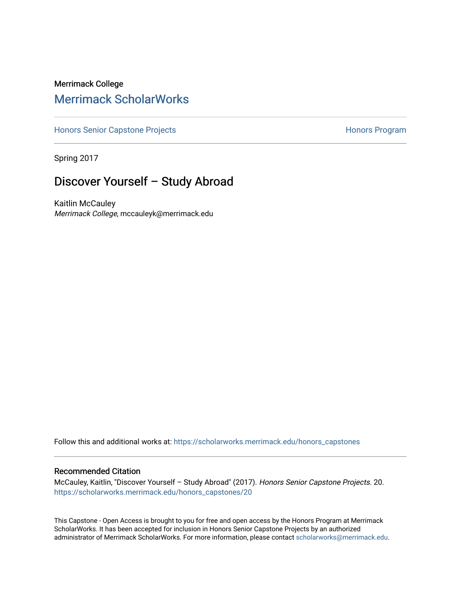## Merrimack College [Merrimack ScholarWorks](https://scholarworks.merrimack.edu/)

[Honors Senior Capstone Projects](https://scholarworks.merrimack.edu/honors_capstones) **Honors Program** Honors Program

Spring 2017

# Discover Yourself – Study Abroad

Kaitlin McCauley Merrimack College, mccauleyk@merrimack.edu

Follow this and additional works at: [https://scholarworks.merrimack.edu/honors\\_capstones](https://scholarworks.merrimack.edu/honors_capstones?utm_source=scholarworks.merrimack.edu%2Fhonors_capstones%2F20&utm_medium=PDF&utm_campaign=PDFCoverPages)

### Recommended Citation

McCauley, Kaitlin, "Discover Yourself – Study Abroad" (2017). Honors Senior Capstone Projects. 20. [https://scholarworks.merrimack.edu/honors\\_capstones/20](https://scholarworks.merrimack.edu/honors_capstones/20?utm_source=scholarworks.merrimack.edu%2Fhonors_capstones%2F20&utm_medium=PDF&utm_campaign=PDFCoverPages) 

This Capstone - Open Access is brought to you for free and open access by the Honors Program at Merrimack ScholarWorks. It has been accepted for inclusion in Honors Senior Capstone Projects by an authorized administrator of Merrimack ScholarWorks. For more information, please contact [scholarworks@merrimack.edu](mailto:scholarworks@merrimack.edu).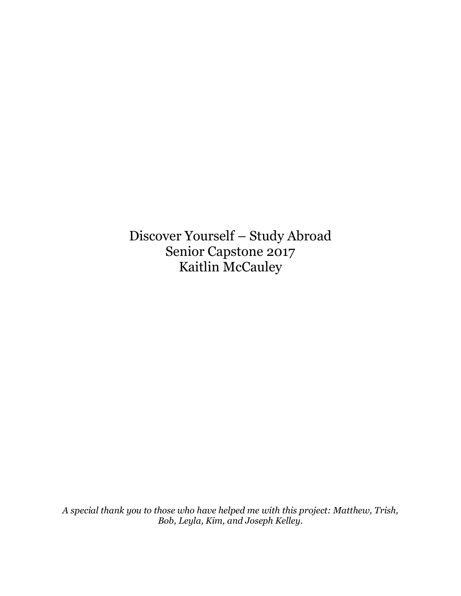Discover Yourself – Study Abroad Senior Capstone 2017 Kaitlin McCauley

*A special thank you to those who have helped me with this project: Matthew, Trish, Bob, Leyla, Kim, and Joseph Kelley.*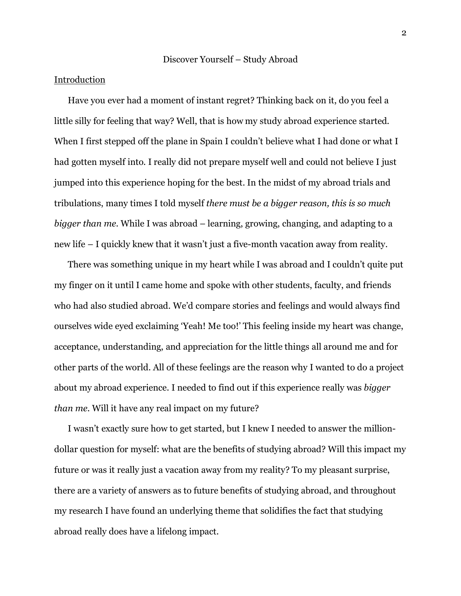## Introduction

Have you ever had a moment of instant regret? Thinking back on it, do you feel a little silly for feeling that way? Well, that is how my study abroad experience started. When I first stepped off the plane in Spain I couldn't believe what I had done or what I had gotten myself into. I really did not prepare myself well and could not believe I just jumped into this experience hoping for the best. In the midst of my abroad trials and tribulations, many times I told myself *there must be a bigger reason, this is so much bigger than me.* While I was abroad – learning, growing, changing, and adapting to a new life – I quickly knew that it wasn't just a five-month vacation away from reality.

There was something unique in my heart while I was abroad and I couldn't quite put my finger on it until I came home and spoke with other students, faculty, and friends who had also studied abroad. We'd compare stories and feelings and would always find ourselves wide eyed exclaiming 'Yeah! Me too!' This feeling inside my heart was change, acceptance, understanding, and appreciation for the little things all around me and for other parts of the world. All of these feelings are the reason why I wanted to do a project about my abroad experience. I needed to find out if this experience really was *bigger than me.* Will it have any real impact on my future?

I wasn't exactly sure how to get started, but I knew I needed to answer the milliondollar question for myself: what are the benefits of studying abroad? Will this impact my future or was it really just a vacation away from my reality? To my pleasant surprise, there are a variety of answers as to future benefits of studying abroad, and throughout my research I have found an underlying theme that solidifies the fact that studying abroad really does have a lifelong impact.

2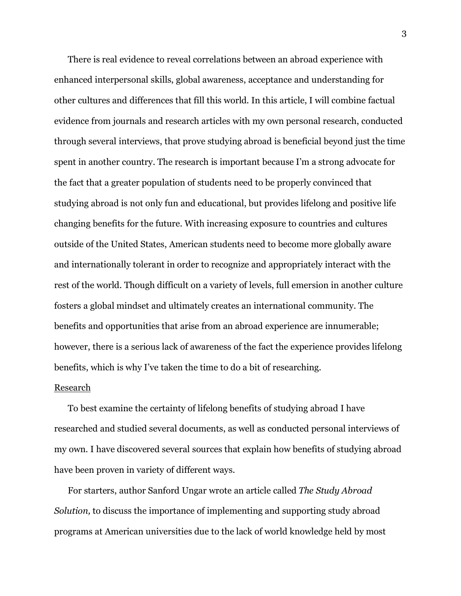There is real evidence to reveal correlations between an abroad experience with enhanced interpersonal skills, global awareness, acceptance and understanding for other cultures and differences that fill this world. In this article, I will combine factual evidence from journals and research articles with my own personal research, conducted through several interviews, that prove studying abroad is beneficial beyond just the time spent in another country. The research is important because I'm a strong advocate for the fact that a greater population of students need to be properly convinced that studying abroad is not only fun and educational, but provides lifelong and positive life changing benefits for the future. With increasing exposure to countries and cultures outside of the United States, American students need to become more globally aware and internationally tolerant in order to recognize and appropriately interact with the rest of the world. Though difficult on a variety of levels, full emersion in another culture fosters a global mindset and ultimately creates an international community. The benefits and opportunities that arise from an abroad experience are innumerable; however, there is a serious lack of awareness of the fact the experience provides lifelong benefits, which is why I've taken the time to do a bit of researching.

### **Research**

To best examine the certainty of lifelong benefits of studying abroad I have researched and studied several documents, as well as conducted personal interviews of my own. I have discovered several sources that explain how benefits of studying abroad have been proven in variety of different ways.

For starters, author Sanford Ungar wrote an article called *The Study Abroad Solution,* to discuss the importance of implementing and supporting study abroad programs at American universities due to the lack of world knowledge held by most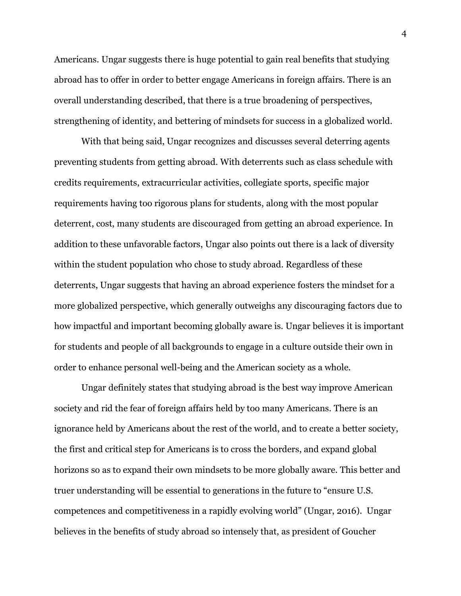Americans. Ungar suggests there is huge potential to gain real benefits that studying abroad has to offer in order to better engage Americans in foreign affairs. There is an overall understanding described, that there is a true broadening of perspectives, strengthening of identity, and bettering of mindsets for success in a globalized world.

With that being said, Ungar recognizes and discusses several deterring agents preventing students from getting abroad. With deterrents such as class schedule with credits requirements, extracurricular activities, collegiate sports, specific major requirements having too rigorous plans for students, along with the most popular deterrent, cost, many students are discouraged from getting an abroad experience. In addition to these unfavorable factors, Ungar also points out there is a lack of diversity within the student population who chose to study abroad. Regardless of these deterrents, Ungar suggests that having an abroad experience fosters the mindset for a more globalized perspective, which generally outweighs any discouraging factors due to how impactful and important becoming globally aware is. Ungar believes it is important for students and people of all backgrounds to engage in a culture outside their own in order to enhance personal well-being and the American society as a whole.

Ungar definitely states that studying abroad is the best way improve American society and rid the fear of foreign affairs held by too many Americans. There is an ignorance held by Americans about the rest of the world, and to create a better society, the first and critical step for Americans is to cross the borders, and expand global horizons so as to expand their own mindsets to be more globally aware. This better and truer understanding will be essential to generations in the future to "ensure U.S. competences and competitiveness in a rapidly evolving world" (Ungar, 2016). Ungar believes in the benefits of study abroad so intensely that, as president of Goucher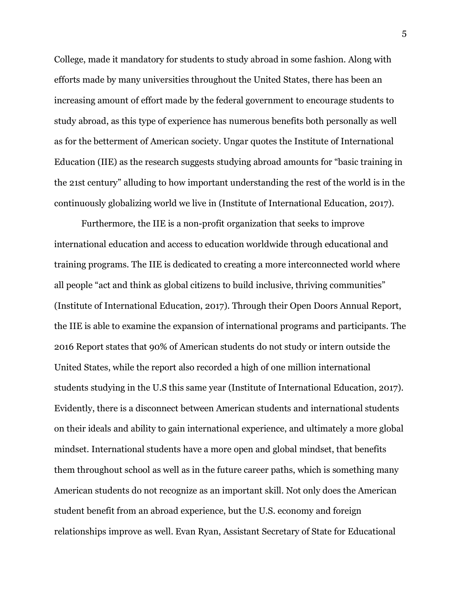College, made it mandatory for students to study abroad in some fashion. Along with efforts made by many universities throughout the United States, there has been an increasing amount of effort made by the federal government to encourage students to study abroad, as this type of experience has numerous benefits both personally as well as for the betterment of American society. Ungar quotes the Institute of International Education (IIE) as the research suggests studying abroad amounts for "basic training in the 21st century" alluding to how important understanding the rest of the world is in the continuously globalizing world we live in (Institute of International Education, 2017).

Furthermore, the IIE is a non-profit organization that seeks to improve international education and access to education worldwide through educational and training programs. The IIE is dedicated to creating a more interconnected world where all people "act and think as global citizens to build inclusive, thriving communities" (Institute of International Education, 2017). Through their Open Doors Annual Report, the IIE is able to examine the expansion of international programs and participants. The 2016 Report states that 90% of American students do not study or intern outside the United States, while the report also recorded a high of one million international students studying in the U.S this same year (Institute of International Education, 2017). Evidently, there is a disconnect between American students and international students on their ideals and ability to gain international experience, and ultimately a more global mindset. International students have a more open and global mindset, that benefits them throughout school as well as in the future career paths, which is something many American students do not recognize as an important skill. Not only does the American student benefit from an abroad experience, but the U.S. economy and foreign relationships improve as well. Evan Ryan, Assistant Secretary of State for Educational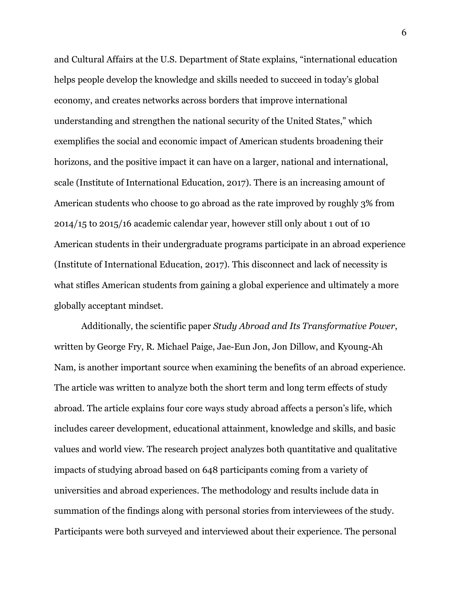and Cultural Affairs at the U.S. Department of State explains, "international education helps people develop the knowledge and skills needed to succeed in today's global economy, and creates networks across borders that improve international understanding and strengthen the national security of the United States," which exemplifies the social and economic impact of American students broadening their horizons, and the positive impact it can have on a larger, national and international, scale (Institute of International Education, 2017). There is an increasing amount of American students who choose to go abroad as the rate improved by roughly 3% from 2014/15 to 2015/16 academic calendar year, however still only about 1 out of 10 American students in their undergraduate programs participate in an abroad experience (Institute of International Education, 2017). This disconnect and lack of necessity is what stifles American students from gaining a global experience and ultimately a more globally acceptant mindset.

Additionally, the scientific paper *Study Abroad and Its Transformative Power*, written by George Fry, R. Michael Paige, Jae-Eun Jon, Jon Dillow, and Kyoung-Ah Nam, is another important source when examining the benefits of an abroad experience. The article was written to analyze both the short term and long term effects of study abroad. The article explains four core ways study abroad affects a person's life, which includes career development, educational attainment, knowledge and skills, and basic values and world view. The research project analyzes both quantitative and qualitative impacts of studying abroad based on 648 participants coming from a variety of universities and abroad experiences. The methodology and results include data in summation of the findings along with personal stories from interviewees of the study. Participants were both surveyed and interviewed about their experience. The personal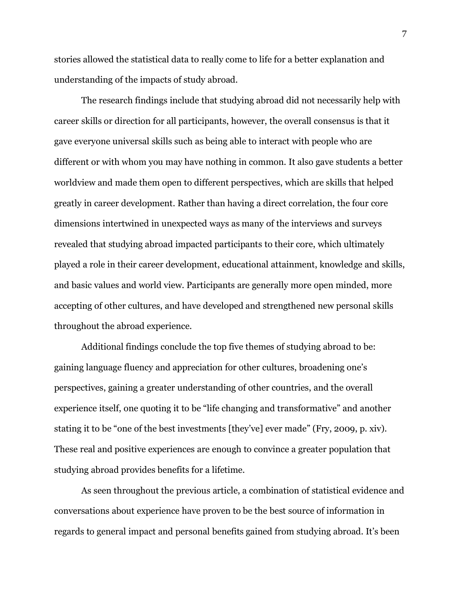stories allowed the statistical data to really come to life for a better explanation and understanding of the impacts of study abroad.

The research findings include that studying abroad did not necessarily help with career skills or direction for all participants, however, the overall consensus is that it gave everyone universal skills such as being able to interact with people who are different or with whom you may have nothing in common. It also gave students a better worldview and made them open to different perspectives, which are skills that helped greatly in career development. Rather than having a direct correlation, the four core dimensions intertwined in unexpected ways as many of the interviews and surveys revealed that studying abroad impacted participants to their core, which ultimately played a role in their career development, educational attainment, knowledge and skills, and basic values and world view. Participants are generally more open minded, more accepting of other cultures, and have developed and strengthened new personal skills throughout the abroad experience.

Additional findings conclude the top five themes of studying abroad to be: gaining language fluency and appreciation for other cultures, broadening one's perspectives, gaining a greater understanding of other countries, and the overall experience itself, one quoting it to be "life changing and transformative" and another stating it to be "one of the best investments [they've] ever made" (Fry, 2009, p. xiv). These real and positive experiences are enough to convince a greater population that studying abroad provides benefits for a lifetime.

As seen throughout the previous article, a combination of statistical evidence and conversations about experience have proven to be the best source of information in regards to general impact and personal benefits gained from studying abroad. It's been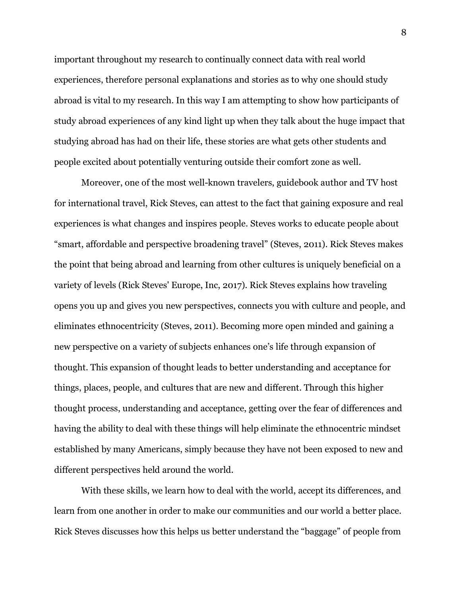important throughout my research to continually connect data with real world experiences, therefore personal explanations and stories as to why one should study abroad is vital to my research. In this way I am attempting to show how participants of study abroad experiences of any kind light up when they talk about the huge impact that studying abroad has had on their life, these stories are what gets other students and people excited about potentially venturing outside their comfort zone as well.

Moreover, one of the most well-known travelers, guidebook author and TV host for international travel, Rick Steves, can attest to the fact that gaining exposure and real experiences is what changes and inspires people. Steves works to educate people about "smart, affordable and perspective broadening travel" (Steves, 2011). Rick Steves makes the point that being abroad and learning from other cultures is uniquely beneficial on a variety of levels (Rick Steves' Europe, Inc, 2017). Rick Steves explains how traveling opens you up and gives you new perspectives, connects you with culture and people, and eliminates ethnocentricity (Steves, 2011). Becoming more open minded and gaining a new perspective on a variety of subjects enhances one's life through expansion of thought. This expansion of thought leads to better understanding and acceptance for things, places, people, and cultures that are new and different. Through this higher thought process, understanding and acceptance, getting over the fear of differences and having the ability to deal with these things will help eliminate the ethnocentric mindset established by many Americans, simply because they have not been exposed to new and different perspectives held around the world.

With these skills, we learn how to deal with the world, accept its differences, and learn from one another in order to make our communities and our world a better place. Rick Steves discusses how this helps us better understand the "baggage" of people from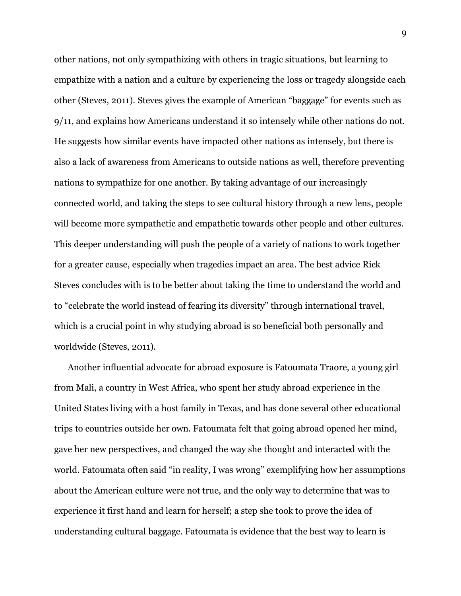other nations, not only sympathizing with others in tragic situations, but learning to empathize with a nation and a culture by experiencing the loss or tragedy alongside each other (Steves, 2011). Steves gives the example of American "baggage" for events such as 9/11, and explains how Americans understand it so intensely while other nations do not. He suggests how similar events have impacted other nations as intensely, but there is also a lack of awareness from Americans to outside nations as well, therefore preventing nations to sympathize for one another. By taking advantage of our increasingly connected world, and taking the steps to see cultural history through a new lens, people will become more sympathetic and empathetic towards other people and other cultures. This deeper understanding will push the people of a variety of nations to work together for a greater cause, especially when tragedies impact an area. The best advice Rick Steves concludes with is to be better about taking the time to understand the world and to "celebrate the world instead of fearing its diversity" through international travel, which is a crucial point in why studying abroad is so beneficial both personally and worldwide (Steves, 2011).

Another influential advocate for abroad exposure is Fatoumata Traore, a young girl from Mali, a country in West Africa, who spent her study abroad experience in the United States living with a host family in Texas, and has done several other educational trips to countries outside her own. Fatoumata felt that going abroad opened her mind, gave her new perspectives, and changed the way she thought and interacted with the world. Fatoumata often said "in reality, I was wrong" exemplifying how her assumptions about the American culture were not true, and the only way to determine that was to experience it first hand and learn for herself; a step she took to prove the idea of understanding cultural baggage. Fatoumata is evidence that the best way to learn is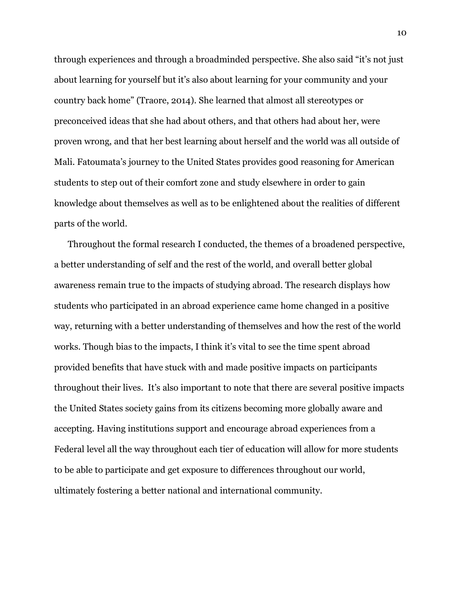through experiences and through a broadminded perspective. She also said "it's not just about learning for yourself but it's also about learning for your community and your country back home" (Traore, 2014). She learned that almost all stereotypes or preconceived ideas that she had about others, and that others had about her, were proven wrong, and that her best learning about herself and the world was all outside of Mali. Fatoumata's journey to the United States provides good reasoning for American students to step out of their comfort zone and study elsewhere in order to gain knowledge about themselves as well as to be enlightened about the realities of different parts of the world.

Throughout the formal research I conducted, the themes of a broadened perspective, a better understanding of self and the rest of the world, and overall better global awareness remain true to the impacts of studying abroad. The research displays how students who participated in an abroad experience came home changed in a positive way, returning with a better understanding of themselves and how the rest of the world works. Though bias to the impacts, I think it's vital to see the time spent abroad provided benefits that have stuck with and made positive impacts on participants throughout their lives. It's also important to note that there are several positive impacts the United States society gains from its citizens becoming more globally aware and accepting. Having institutions support and encourage abroad experiences from a Federal level all the way throughout each tier of education will allow for more students to be able to participate and get exposure to differences throughout our world, ultimately fostering a better national and international community.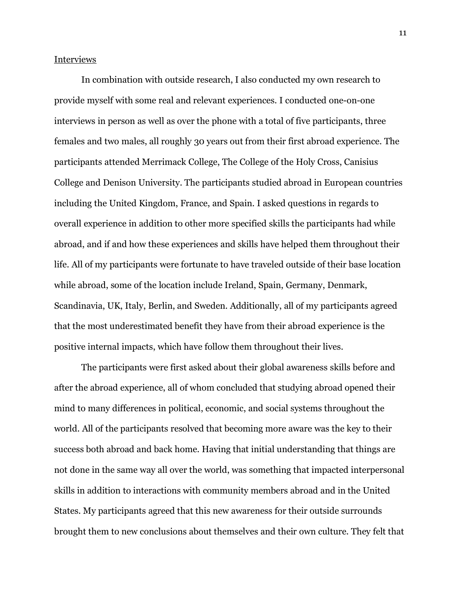Interviews

In combination with outside research, I also conducted my own research to provide myself with some real and relevant experiences. I conducted one-on-one interviews in person as well as over the phone with a total of five participants, three females and two males, all roughly 30 years out from their first abroad experience. The participants attended Merrimack College, The College of the Holy Cross, Canisius College and Denison University. The participants studied abroad in European countries including the United Kingdom, France, and Spain. I asked questions in regards to overall experience in addition to other more specified skills the participants had while abroad, and if and how these experiences and skills have helped them throughout their life. All of my participants were fortunate to have traveled outside of their base location while abroad, some of the location include Ireland, Spain, Germany, Denmark, Scandinavia, UK, Italy, Berlin, and Sweden. Additionally, all of my participants agreed that the most underestimated benefit they have from their abroad experience is the positive internal impacts, which have follow them throughout their lives.

The participants were first asked about their global awareness skills before and after the abroad experience, all of whom concluded that studying abroad opened their mind to many differences in political, economic, and social systems throughout the world. All of the participants resolved that becoming more aware was the key to their success both abroad and back home. Having that initial understanding that things are not done in the same way all over the world, was something that impacted interpersonal skills in addition to interactions with community members abroad and in the United States. My participants agreed that this new awareness for their outside surrounds brought them to new conclusions about themselves and their own culture. They felt that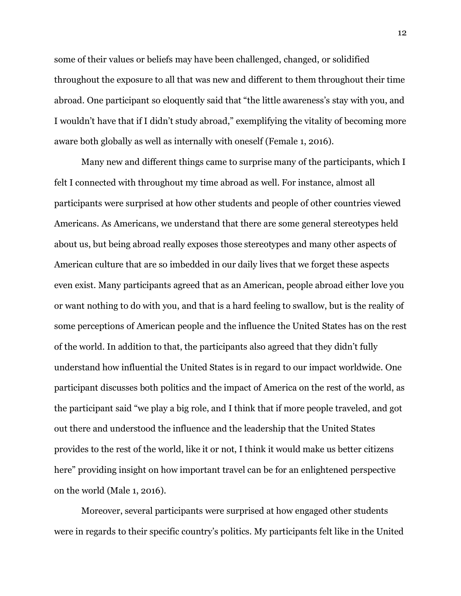some of their values or beliefs may have been challenged, changed, or solidified throughout the exposure to all that was new and different to them throughout their time abroad. One participant so eloquently said that "the little awareness's stay with you, and I wouldn't have that if I didn't study abroad," exemplifying the vitality of becoming more aware both globally as well as internally with oneself (Female 1, 2016).

Many new and different things came to surprise many of the participants, which I felt I connected with throughout my time abroad as well. For instance, almost all participants were surprised at how other students and people of other countries viewed Americans. As Americans, we understand that there are some general stereotypes held about us, but being abroad really exposes those stereotypes and many other aspects of American culture that are so imbedded in our daily lives that we forget these aspects even exist. Many participants agreed that as an American, people abroad either love you or want nothing to do with you, and that is a hard feeling to swallow, but is the reality of some perceptions of American people and the influence the United States has on the rest of the world. In addition to that, the participants also agreed that they didn't fully understand how influential the United States is in regard to our impact worldwide. One participant discusses both politics and the impact of America on the rest of the world, as the participant said "we play a big role, and I think that if more people traveled, and got out there and understood the influence and the leadership that the United States provides to the rest of the world, like it or not, I think it would make us better citizens here" providing insight on how important travel can be for an enlightened perspective on the world (Male 1, 2016).

Moreover, several participants were surprised at how engaged other students were in regards to their specific country's politics. My participants felt like in the United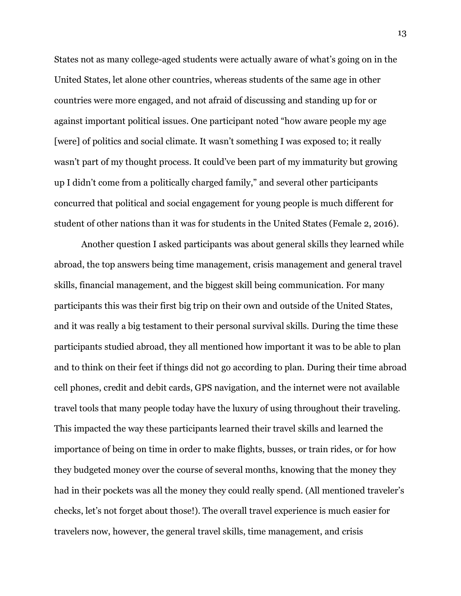States not as many college-aged students were actually aware of what's going on in the United States, let alone other countries, whereas students of the same age in other countries were more engaged, and not afraid of discussing and standing up for or against important political issues. One participant noted "how aware people my age [were] of politics and social climate. It wasn't something I was exposed to; it really wasn't part of my thought process. It could've been part of my immaturity but growing up I didn't come from a politically charged family," and several other participants concurred that political and social engagement for young people is much different for student of other nations than it was for students in the United States (Female 2, 2016).

Another question I asked participants was about general skills they learned while abroad, the top answers being time management, crisis management and general travel skills, financial management, and the biggest skill being communication. For many participants this was their first big trip on their own and outside of the United States, and it was really a big testament to their personal survival skills. During the time these participants studied abroad, they all mentioned how important it was to be able to plan and to think on their feet if things did not go according to plan. During their time abroad cell phones, credit and debit cards, GPS navigation, and the internet were not available travel tools that many people today have the luxury of using throughout their traveling. This impacted the way these participants learned their travel skills and learned the importance of being on time in order to make flights, busses, or train rides, or for how they budgeted money over the course of several months, knowing that the money they had in their pockets was all the money they could really spend. (All mentioned traveler's checks, let's not forget about those!). The overall travel experience is much easier for travelers now, however, the general travel skills, time management, and crisis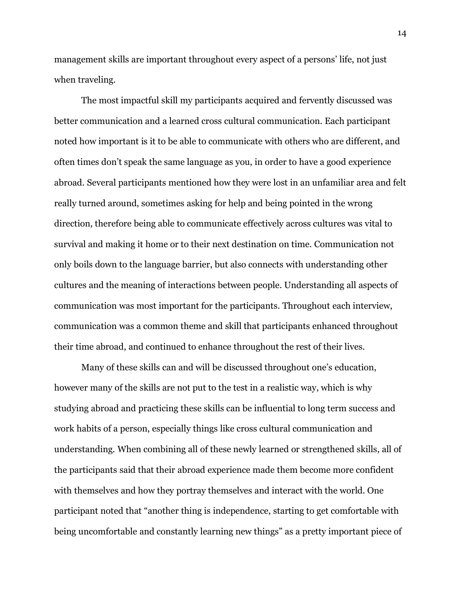management skills are important throughout every aspect of a persons' life, not just when traveling.

The most impactful skill my participants acquired and fervently discussed was better communication and a learned cross cultural communication. Each participant noted how important is it to be able to communicate with others who are different, and often times don't speak the same language as you, in order to have a good experience abroad. Several participants mentioned how they were lost in an unfamiliar area and felt really turned around, sometimes asking for help and being pointed in the wrong direction, therefore being able to communicate effectively across cultures was vital to survival and making it home or to their next destination on time. Communication not only boils down to the language barrier, but also connects with understanding other cultures and the meaning of interactions between people. Understanding all aspects of communication was most important for the participants. Throughout each interview, communication was a common theme and skill that participants enhanced throughout their time abroad, and continued to enhance throughout the rest of their lives.

Many of these skills can and will be discussed throughout one's education, however many of the skills are not put to the test in a realistic way, which is why studying abroad and practicing these skills can be influential to long term success and work habits of a person, especially things like cross cultural communication and understanding. When combining all of these newly learned or strengthened skills, all of the participants said that their abroad experience made them become more confident with themselves and how they portray themselves and interact with the world. One participant noted that "another thing is independence, starting to get comfortable with being uncomfortable and constantly learning new things" as a pretty important piece of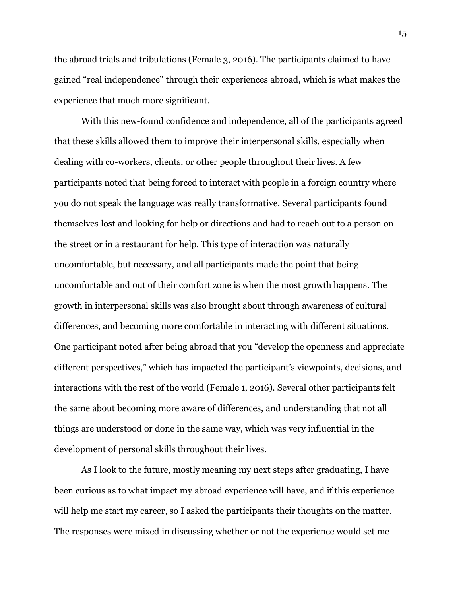the abroad trials and tribulations (Female 3, 2016). The participants claimed to have gained "real independence" through their experiences abroad, which is what makes the experience that much more significant.

With this new-found confidence and independence, all of the participants agreed that these skills allowed them to improve their interpersonal skills, especially when dealing with co-workers, clients, or other people throughout their lives. A few participants noted that being forced to interact with people in a foreign country where you do not speak the language was really transformative. Several participants found themselves lost and looking for help or directions and had to reach out to a person on the street or in a restaurant for help. This type of interaction was naturally uncomfortable, but necessary, and all participants made the point that being uncomfortable and out of their comfort zone is when the most growth happens. The growth in interpersonal skills was also brought about through awareness of cultural differences, and becoming more comfortable in interacting with different situations. One participant noted after being abroad that you "develop the openness and appreciate different perspectives," which has impacted the participant's viewpoints, decisions, and interactions with the rest of the world (Female 1, 2016). Several other participants felt the same about becoming more aware of differences, and understanding that not all things are understood or done in the same way, which was very influential in the development of personal skills throughout their lives.

As I look to the future, mostly meaning my next steps after graduating, I have been curious as to what impact my abroad experience will have, and if this experience will help me start my career, so I asked the participants their thoughts on the matter. The responses were mixed in discussing whether or not the experience would set me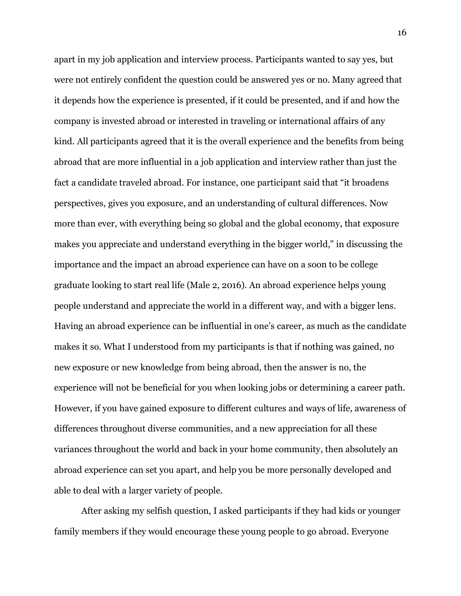apart in my job application and interview process. Participants wanted to say yes, but were not entirely confident the question could be answered yes or no. Many agreed that it depends how the experience is presented, if it could be presented, and if and how the company is invested abroad or interested in traveling or international affairs of any kind. All participants agreed that it is the overall experience and the benefits from being abroad that are more influential in a job application and interview rather than just the fact a candidate traveled abroad. For instance, one participant said that "it broadens perspectives, gives you exposure, and an understanding of cultural differences. Now more than ever, with everything being so global and the global economy, that exposure makes you appreciate and understand everything in the bigger world," in discussing the importance and the impact an abroad experience can have on a soon to be college graduate looking to start real life (Male 2, 2016). An abroad experience helps young people understand and appreciate the world in a different way, and with a bigger lens. Having an abroad experience can be influential in one's career, as much as the candidate makes it so. What I understood from my participants is that if nothing was gained, no new exposure or new knowledge from being abroad, then the answer is no, the experience will not be beneficial for you when looking jobs or determining a career path. However, if you have gained exposure to different cultures and ways of life, awareness of differences throughout diverse communities, and a new appreciation for all these variances throughout the world and back in your home community, then absolutely an abroad experience can set you apart, and help you be more personally developed and able to deal with a larger variety of people.

After asking my selfish question, I asked participants if they had kids or younger family members if they would encourage these young people to go abroad. Everyone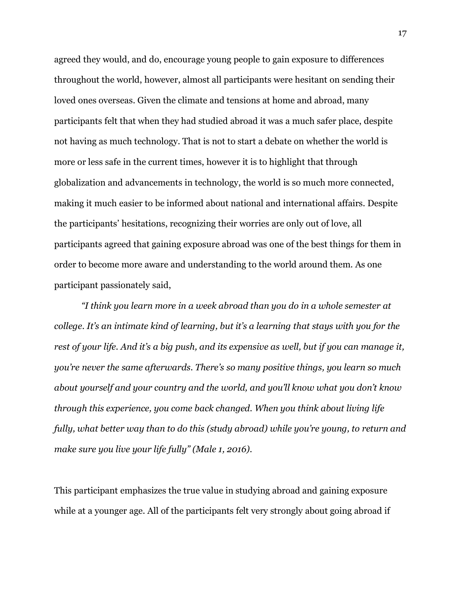agreed they would, and do, encourage young people to gain exposure to differences throughout the world, however, almost all participants were hesitant on sending their loved ones overseas. Given the climate and tensions at home and abroad, many participants felt that when they had studied abroad it was a much safer place, despite not having as much technology. That is not to start a debate on whether the world is more or less safe in the current times, however it is to highlight that through globalization and advancements in technology, the world is so much more connected, making it much easier to be informed about national and international affairs. Despite the participants' hesitations, recognizing their worries are only out of love, all participants agreed that gaining exposure abroad was one of the best things for them in order to become more aware and understanding to the world around them. As one participant passionately said,

*"I think you learn more in a week abroad than you do in a whole semester at college. It's an intimate kind of learning, but it's a learning that stays with you for the* rest of your life. And it's a big push, and its expensive as well, but if you can manage it, *you're never the same afterwards. There's so many positive things, you learn so much about yourself and your country and the world, and you'll know what you don't know through this experience, you come back changed. When you think about living life fully, what better way than to do this (study abroad) while you're young, to return and make sure you live your life fully" (Male 1, 2016).*

This participant emphasizes the true value in studying abroad and gaining exposure while at a younger age. All of the participants felt very strongly about going abroad if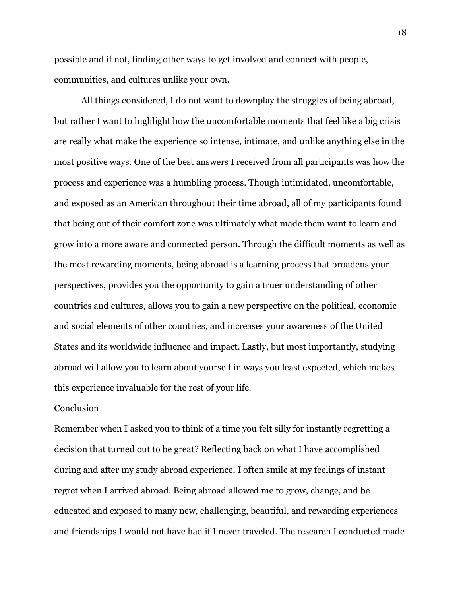possible and if not, finding other ways to get involved and connect with people, communities, and cultures unlike your own.

All things considered, I do not want to downplay the struggles of being abroad, but rather I want to highlight how the uncomfortable moments that feel like a big crisis are really what make the experience so intense, intimate, and unlike anything else in the most positive ways. One of the best answers I received from all participants was how the process and experience was a humbling process. Though intimidated, uncomfortable, and exposed as an American throughout their time abroad, all of my participants found that being out of their comfort zone was ultimately what made them want to learn and grow into a more aware and connected person. Through the difficult moments as well as the most rewarding moments, being abroad is a learning process that broadens your perspectives, provides you the opportunity to gain a truer understanding of other countries and cultures, allows you to gain a new perspective on the political, economic and social elements of other countries, and increases your awareness of the United States and its worldwide influence and impact. Lastly, but most importantly, studying abroad will allow you to learn about yourself in ways you least expected, which makes this experience invaluable for the rest of your life.

#### **Conclusion**

Remember when I asked you to think of a time you felt silly for instantly regretting a decision that turned out to be great? Reflecting back on what I have accomplished during and after my study abroad experience, I often smile at my feelings of instant regret when I arrived abroad. Being abroad allowed me to grow, change, and be educated and exposed to many new, challenging, beautiful, and rewarding experiences and friendships I would not have had if I never traveled. The research I conducted made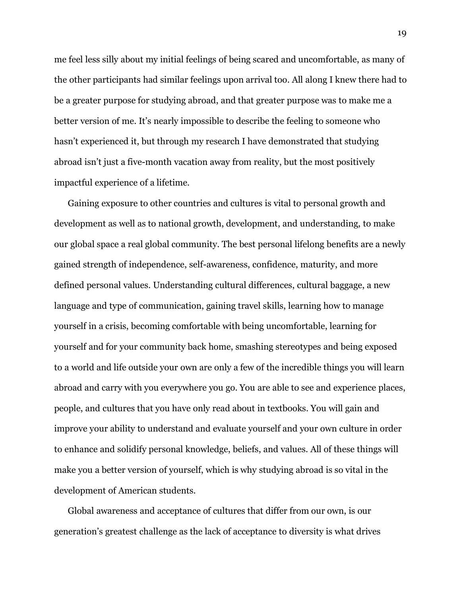me feel less silly about my initial feelings of being scared and uncomfortable, as many of the other participants had similar feelings upon arrival too. All along I knew there had to be a greater purpose for studying abroad, and that greater purpose was to make me a better version of me. It's nearly impossible to describe the feeling to someone who hasn't experienced it, but through my research I have demonstrated that studying abroad isn't just a five-month vacation away from reality, but the most positively impactful experience of a lifetime.

Gaining exposure to other countries and cultures is vital to personal growth and development as well as to national growth, development, and understanding, to make our global space a real global community. The best personal lifelong benefits are a newly gained strength of independence, self-awareness, confidence, maturity, and more defined personal values. Understanding cultural differences, cultural baggage, a new language and type of communication, gaining travel skills, learning how to manage yourself in a crisis, becoming comfortable with being uncomfortable, learning for yourself and for your community back home, smashing stereotypes and being exposed to a world and life outside your own are only a few of the incredible things you will learn abroad and carry with you everywhere you go. You are able to see and experience places, people, and cultures that you have only read about in textbooks. You will gain and improve your ability to understand and evaluate yourself and your own culture in order to enhance and solidify personal knowledge, beliefs, and values. All of these things will make you a better version of yourself, which is why studying abroad is so vital in the development of American students.

Global awareness and acceptance of cultures that differ from our own, is our generation's greatest challenge as the lack of acceptance to diversity is what drives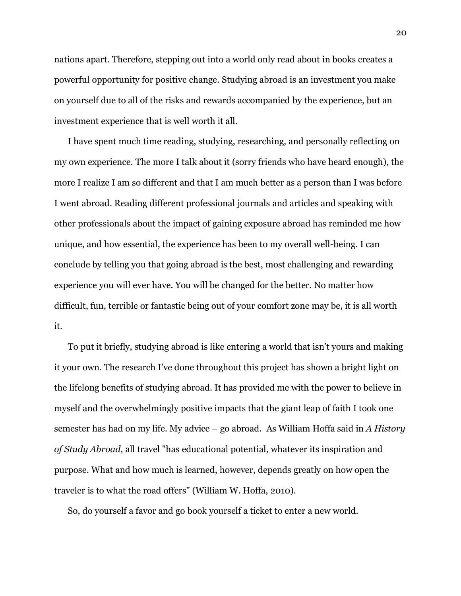nations apart. Therefore, stepping out into a world only read about in books creates a powerful opportunity for positive change. Studying abroad is an investment you make on yourself due to all of the risks and rewards accompanied by the experience, but an investment experience that is well worth it all.

I have spent much time reading, studying, researching, and personally reflecting on my own experience. The more I talk about it (sorry friends who have heard enough), the more I realize I am so different and that I am much better as a person than I was before I went abroad. Reading different professional journals and articles and speaking with other professionals about the impact of gaining exposure abroad has reminded me how unique, and how essential, the experience has been to my overall well-being. I can conclude by telling you that going abroad is the best, most challenging and rewarding experience you will ever have. You will be changed for the better. No matter how difficult, fun, terrible or fantastic being out of your comfort zone may be, it is all worth it.

To put it briefly, studying abroad is like entering a world that isn't yours and making it your own. The research I've done throughout this project has shown a bright light on the lifelong benefits of studying abroad. It has provided me with the power to believe in myself and the overwhelmingly positive impacts that the giant leap of faith I took one semester has had on my life. My advice – go abroad. As William Hoffa said in *A History of Study Abroad,* all travel "has educational potential, whatever its inspiration and purpose. What and how much is learned, however, depends greatly on how open the traveler is to what the road offers" (William W. Hoffa, 2010).

So, do yourself a favor and go book yourself a ticket to enter a new world.